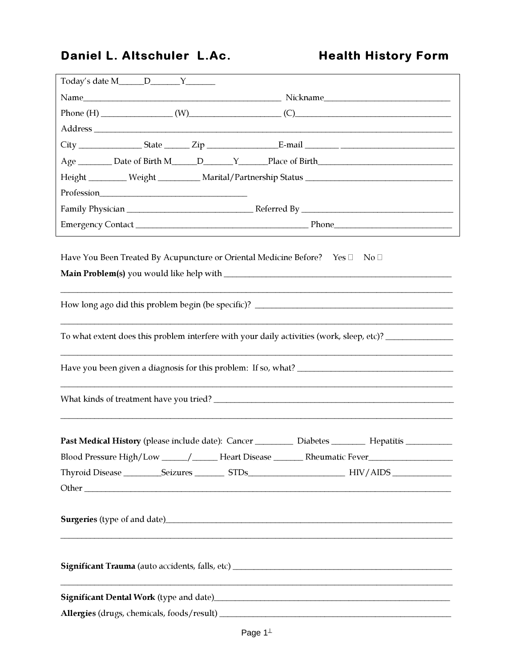## Daniel L. Altschuler L.Ac.

# **Health History Form**

|  |  |  | Have You Been Treated By Acupuncture or Oriental Medicine Before? Yes □ No □                             |  |  |
|--|--|--|----------------------------------------------------------------------------------------------------------|--|--|
|  |  |  |                                                                                                          |  |  |
|  |  |  | To what extent does this problem interfere with your daily activities (work, sleep, etc)? ______________ |  |  |
|  |  |  |                                                                                                          |  |  |
|  |  |  |                                                                                                          |  |  |
|  |  |  | Past Medical History (please include date): Cancer ___________ Diabetes _________ Hepatitis ________     |  |  |
|  |  |  | Blood Pressure High/Low _______/ ______ Heart Disease _______ Rheumatic Fever______________________      |  |  |
|  |  |  |                                                                                                          |  |  |
|  |  |  |                                                                                                          |  |  |
|  |  |  | <b>Surgeries</b> (type of and date) <b>Example 2014 Surgeries</b> (type of and date)                     |  |  |
|  |  |  |                                                                                                          |  |  |
|  |  |  | Significant Dental Work (type and date)<br><u>Significant Dental Work</u> (type and date)                |  |  |
|  |  |  |                                                                                                          |  |  |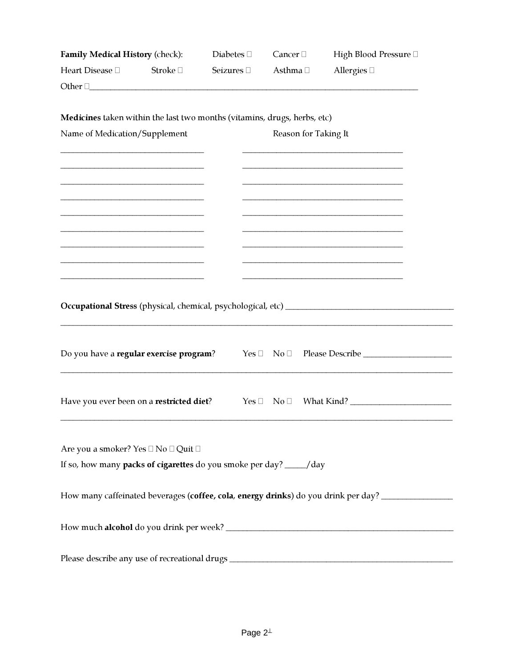| Family Medical History (check):<br>Heart Disease <sup>[]</sup><br>Stroke $\Box$ |  | Diabetes $\square$      | Cancer $\Box$        | High Blood Pressure □                                                              |  |
|---------------------------------------------------------------------------------|--|-------------------------|----------------------|------------------------------------------------------------------------------------|--|
|                                                                                 |  | Seizures <sup>[1]</sup> | Asthma □             | Allergies $\Box$                                                                   |  |
| Other 0                                                                         |  |                         |                      |                                                                                    |  |
|                                                                                 |  |                         |                      |                                                                                    |  |
| Medicines taken within the last two months (vitamins, drugs, herbs, etc)        |  |                         |                      |                                                                                    |  |
| Name of Medication/Supplement                                                   |  |                         | Reason for Taking It |                                                                                    |  |
|                                                                                 |  |                         |                      |                                                                                    |  |
|                                                                                 |  |                         |                      |                                                                                    |  |
|                                                                                 |  |                         |                      |                                                                                    |  |
|                                                                                 |  |                         |                      |                                                                                    |  |
|                                                                                 |  |                         |                      |                                                                                    |  |
|                                                                                 |  |                         |                      |                                                                                    |  |
|                                                                                 |  |                         |                      |                                                                                    |  |
|                                                                                 |  |                         |                      |                                                                                    |  |
| Do you have a regular exercise program?                                         |  |                         | $Yes \Box No \Box$   | Please Describe                                                                    |  |
| Have you ever been on a restricted diet?                                        |  | Yes $\square$           | $\mathrm{No}\ \Box$  | What Kind?                                                                         |  |
| Are you a smoker? Yes □ No □ Quit □                                             |  |                         |                      |                                                                                    |  |
| If so, how many packs of cigarettes do you smoke per day? ____/day              |  |                         |                      |                                                                                    |  |
|                                                                                 |  |                         |                      | How many caffeinated beverages (coffee, cola, energy drinks) do you drink per day? |  |
|                                                                                 |  |                         |                      |                                                                                    |  |
|                                                                                 |  |                         |                      | Please describe any use of recreational drugs __________________________________   |  |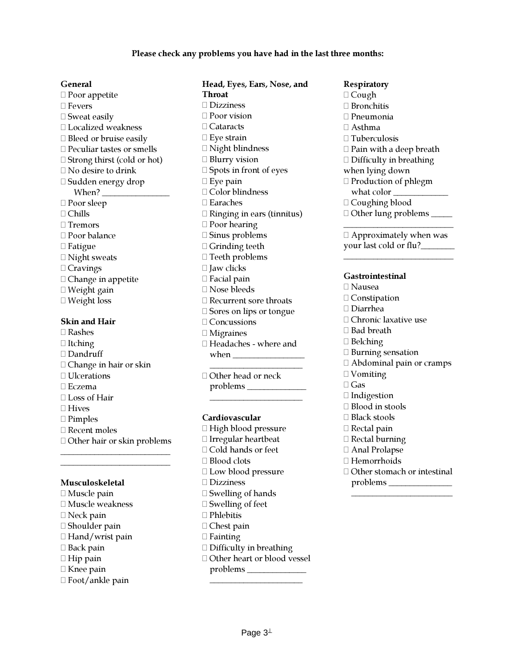#### General

- $\Box$  Poor appetite □ Fevers □ Sweat easily □ Localized weakness □ Bleed or bruise easily Peculiar tastes or smells □ Strong thirst (cold or hot) No desire to drink □ Sudden energy drop When? $\_\_$  Poor sleep Chills □ Tremors □ Poor balance □ Fatigue □ Night sweats  $\Box$  Cravings  $\Box$  Change in appetite Weight gain Weight loss Skin and Hair Rashes
- 
- $\Box$  Itching
- □ Dandruff
- Change in hair or skin
- □ Ulcerations
- Eczema
- □ Loss of Hair
- □ Hives
- □ Pimples
- Recent moles
- Other hair or skin problems \_\_\_\_\_\_\_\_\_\_\_\_\_\_\_\_\_\_\_\_\_\_\_\_\_\_

\_\_\_\_\_\_\_\_\_\_\_\_\_\_\_\_\_\_\_\_\_\_\_\_\_\_

#### Musculoskeletal

- $\Box$  Muscle pain Muscle weakness
- □ Neck pain
- □ Shoulder pain
- $\Box$  Hand/wrist pain
- □ Back pain
- $\Box$  Hip pain
- $\Box$  Knee pain
- Foot/ankle pain

Head, Eyes, Ears, Nose, and **Throat**  Dizziness □ Poor vision □ Cataracts  $\Box$  Eye strain Night blindness □ Blurry vision Spots in front of eyes  $\Box$  Eye pain □ Color blindness Earaches Ringing in ears (tinnitus) □ Poor hearing Sinus problems Grinding teeth □ Teeth problems  $\Box$  Jaw clicks □ Facial pain Nose bleeds Recurrent sore throats □ Sores on lips or tongue □ Concussions Migraines Headaches - where and when **when** 

 Other head or neck problems \_\_\_\_\_\_\_\_\_\_\_\_\_\_

\_\_\_\_\_\_\_\_\_\_\_\_\_\_\_\_\_\_\_\_\_\_

\_\_\_\_\_\_\_\_\_\_\_\_\_\_\_\_\_\_\_\_\_\_

### Cardiovascular

- $\Box$  High blood pressure Irregular heartbeat Cold hands or feet □ Blood clots □ Low blood pressure Dizziness
- $\Box$  Swelling of hands
- $\square$  Swelling of feet
- □ Phlebitis
- □ Chest pain
- $\Box$  Fainting
- $\Box$  Difficulty in breathing
- Other heart or blood vessel problems \_\_\_\_\_\_\_\_\_\_\_\_\_\_ \_\_\_\_\_\_\_\_\_\_\_\_\_\_\_\_\_\_\_\_\_\_

**Respiratory**  $\Box$  Cough □ Bronchitis Pneumonia  $\Box$  Asthma  $\Box$  Tuberculosis  $\Box$  Pain with a deep breath  $\Box$  Difficulty in breathing when lying down Production of phlegm what color  $\Box$  Coughing blood

Other lung problems \_\_\_\_\_

 $\Box$  Approximately when was your last cold or flu?

\_\_\_\_\_\_\_\_\_\_\_\_\_\_\_\_\_\_\_\_\_\_\_\_\_\_

\_\_\_\_\_\_\_\_\_\_\_\_\_\_\_\_\_\_\_\_\_\_\_\_\_\_

#### Gastrointestinal

- Nausea □ Constipation Diarrhea Chronic laxative use □ Bad breath  $\Box$  Belching □ Burning sensation Abdominal pain or cramps □ Vomiting Gas □ Indigestion □ Blood in stools □ Black stools □ Rectal pain Rectal burning Anal Prolapse □ Hemorrhoids
- Other stomach or intestinal problems \_\_\_\_\_\_\_\_\_\_\_\_\_\_\_ \_\_\_\_\_\_\_\_\_\_\_\_\_\_\_\_\_\_\_\_\_\_\_\_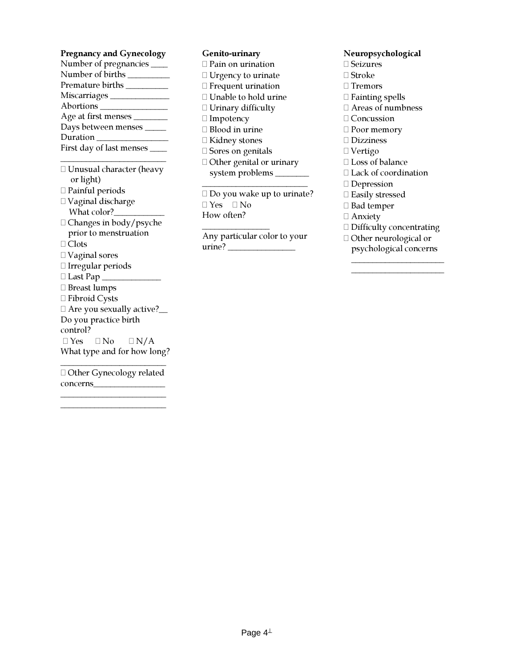#### Pregnancy and Gynecology

| Number of pregnancies __     |
|------------------------------|
| Number of births _           |
| Premature births ______      |
| Miscarriages ___             |
| Abortions ___                |
| Age at first menses _        |
| Days between menses _        |
| Duration _                   |
| First day of last menses ___ |
|                              |

\_\_\_\_\_\_\_\_\_\_\_\_\_\_\_\_\_\_\_\_\_\_\_\_\_ Unusual character (heavy or light)

- Painful periods
- Vaginal discharge What color?\_
- Changes in body/psyche prior to menstruation

□ Clots

- Vaginal sores
- Irregular periods
- $\Box$  Last Pap  $\Box$
- $\Box$  Breast lumps
- □ Fibroid Cysts
- $\Box$  Are you sexually active? Do you practice birth control?

 $\Box$  Yes  $\Box$  No  $\Box$  N/A What type and for how long? \_\_\_\_\_\_\_\_\_\_\_\_\_\_\_\_\_\_\_\_\_\_\_\_\_

 Other Gynecology related concerns\_\_\_\_\_\_\_\_\_\_\_\_\_\_\_\_\_

\_\_\_\_\_\_\_\_\_\_\_\_\_\_\_\_\_\_\_\_\_\_\_\_\_ \_\_\_\_\_\_\_\_\_\_\_\_\_\_\_\_\_\_\_\_\_\_\_\_\_

#### Genito-urinary

 Pain on urination  $\Box$  Urgency to urinate Frequent urination  $\Box$ <br> <br> Unable to hold urine □ Urinary difficulty  $\Box$  Impotency □ Blood in urine □ Kidney stones □ Sores on genitals Other genital or urinary system problems \_\_\_\_\_\_\_\_\_\_\_\_\_\_\_\_\_\_\_\_\_\_\_\_\_ Do you wake up to urinate?

 $\Box$  Yes  $\Box$  No How often?

Any particular color to your  $urine?$ 

\_\_\_\_\_\_\_\_\_\_\_\_\_\_\_\_

## Neuropsychological

- □ Seizures
- Stroke
- □ Tremors
- Fainting spells
- Areas of numbness
- □ Concussion
- □ Poor memory
- □ Dizziness
- Vertigo
- □ Loss of balance
- Lack of coordination
- □ Depression
- Easily stressed
- □ Bad temper
- Anxiety
- Difficulty concentrating
- Other neurological or psychological concerns

\_\_\_\_\_\_\_\_\_\_\_\_\_\_\_\_\_\_\_\_\_\_ \_\_\_\_\_\_\_\_\_\_\_\_\_\_\_\_\_\_\_\_\_\_